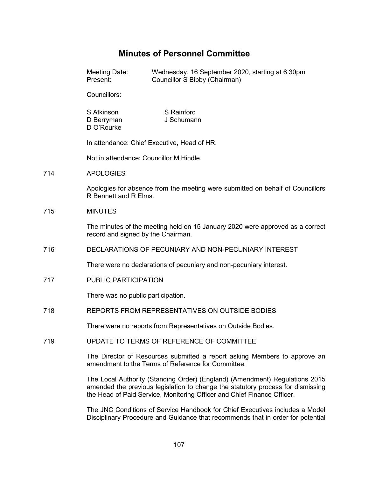# **Minutes of Personnel Committee**

714

715

|     | Meeting Date:<br>Present:                                                                                                                                                                                                                 | Wednesday, 16 September 2020, starting at 6.30pm<br>Councillor S Bibby (Chairman) |
|-----|-------------------------------------------------------------------------------------------------------------------------------------------------------------------------------------------------------------------------------------------|-----------------------------------------------------------------------------------|
|     | Councillors:                                                                                                                                                                                                                              |                                                                                   |
|     | S Atkinson<br>D Berryman<br>D O'Rourke                                                                                                                                                                                                    | S Rainford<br>J Schumann                                                          |
|     | In attendance: Chief Executive, Head of HR.                                                                                                                                                                                               |                                                                                   |
|     | Not in attendance: Councillor M Hindle.                                                                                                                                                                                                   |                                                                                   |
| 714 | <b>APOLOGIES</b>                                                                                                                                                                                                                          |                                                                                   |
|     | Apologies for absence from the meeting were submitted on behalf of Councillors<br>R Bennett and R Elms.                                                                                                                                   |                                                                                   |
| 715 | <b>MINUTES</b>                                                                                                                                                                                                                            |                                                                                   |
|     | The minutes of the meeting held on 15 January 2020 were approved as a correct<br>record and signed by the Chairman.                                                                                                                       |                                                                                   |
| 716 | DECLARATIONS OF PECUNIARY AND NON-PECUNIARY INTEREST                                                                                                                                                                                      |                                                                                   |
|     | There were no declarations of pecuniary and non-pecuniary interest.                                                                                                                                                                       |                                                                                   |
| 717 | PUBLIC PARTICIPATION                                                                                                                                                                                                                      |                                                                                   |
|     | There was no public participation.                                                                                                                                                                                                        |                                                                                   |
| 718 | REPORTS FROM REPRESENTATIVES ON OUTSIDE BODIES                                                                                                                                                                                            |                                                                                   |
|     | There were no reports from Representatives on Outside Bodies.                                                                                                                                                                             |                                                                                   |
| 719 | UPDATE TO TERMS OF REFERENCE OF COMMITTEE                                                                                                                                                                                                 |                                                                                   |
|     | The Director of Resources submitted a report asking Members to approve an<br>amendment to the Terms of Reference for Committee.                                                                                                           |                                                                                   |
|     | The Local Authority (Standing Order) (England) (Amendment) Regulations 2015<br>amended the previous legislation to change the statutory process for dismissing<br>the Head of Paid Service, Monitoring Officer and Chief Finance Officer. |                                                                                   |
|     |                                                                                                                                                                                                                                           |                                                                                   |

The JNC Conditions of Service Handbook for Chief Executives includes a Model Disciplinary Procedure and Guidance that recommends that in order for potential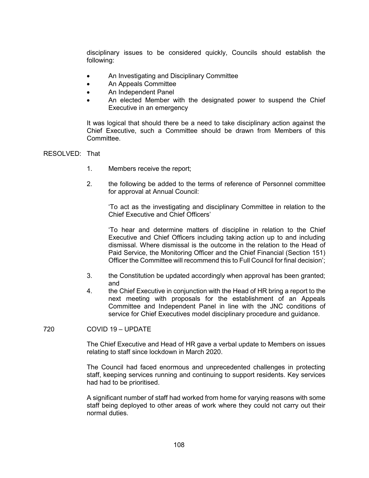disciplinary issues to be considered quickly, Councils should establish the following:

- An Investigating and Disciplinary Committee
- An Appeals Committee
- An Independent Panel
- An elected Member with the designated power to suspend the Chief Executive in an emergency

It was logical that should there be a need to take disciplinary action against the Chief Executive, such a Committee should be drawn from Members of this Committee.

### RESOLVED: That

- 1. Members receive the report;
- 2. the following be added to the terms of reference of Personnel committee for approval at Annual Council:

'To act as the investigating and disciplinary Committee in relation to the Chief Executive and Chief Officers'

'To hear and determine matters of discipline in relation to the Chief Executive and Chief Officers including taking action up to and including dismissal. Where dismissal is the outcome in the relation to the Head of Paid Service, the Monitoring Officer and the Chief Financial (Section 151) Officer the Committee will recommend this to Full Council for final decision';

- 3. the Constitution be updated accordingly when approval has been granted; and
- 4. the Chief Executive in conjunction with the Head of HR bring a report to the next meeting with proposals for the establishment of an Appeals Committee and Independent Panel in line with the JNC conditions of service for Chief Executives model disciplinary procedure and guidance.

720 COVID 19 – UPDATE

The Chief Executive and Head of HR gave a verbal update to Members on issues relating to staff since lockdown in March 2020.

The Council had faced enormous and unprecedented challenges in protecting staff, keeping services running and continuing to support residents. Key services had had to be prioritised.

A significant number of staff had worked from home for varying reasons with some staff being deployed to other areas of work where they could not carry out their normal duties.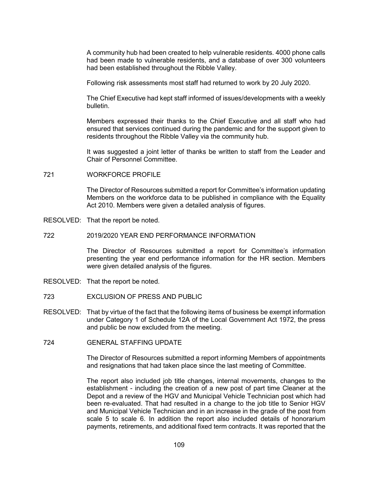A community hub had been created to help vulnerable residents. 4000 phone calls had been made to vulnerable residents, and a database of over 300 volunteers had been established throughout the Ribble Valley.

Following risk assessments most staff had returned to work by 20 July 2020.

The Chief Executive had kept staff informed of issues/developments with a weekly bulletin.

Members expressed their thanks to the Chief Executive and all staff who had ensured that services continued during the pandemic and for the support given to residents throughout the Ribble Valley via the community hub.

It was suggested a joint letter of thanks be written to staff from the Leader and Chair of Personnel Committee.

721 WORKFORCE PROFILE

The Director of Resources submitted a report for Committee's information updating Members on the workforce data to be published in compliance with the Equality Act 2010. Members were given a detailed analysis of figures.

- RESOLVED: That the report be noted.
- 722 2019/2020 YEAR END PERFORMANCE INFORMATION

The Director of Resources submitted a report for Committee's information presenting the year end performance information for the HR section. Members were given detailed analysis of the figures.

- RESOLVED: That the report be noted.
- 723 EXCLUSION OF PRESS AND PUBLIC
- RESOLVED: That by virtue of the fact that the following items of business be exempt information under Category 1 of Schedule 12A of the Local Government Act 1972, the press and public be now excluded from the meeting.
- 724 GENERAL STAFFING UPDATE

The Director of Resources submitted a report informing Members of appointments and resignations that had taken place since the last meeting of Committee.

The report also included job title changes, internal movements, changes to the establishment - including the creation of a new post of part time Cleaner at the Depot and a review of the HGV and Municipal Vehicle Technician post which had been re-evaluated. That had resulted in a change to the job title to Senior HGV and Municipal Vehicle Technician and in an increase in the grade of the post from scale 5 to scale 6. In addition the report also included details of honorarium payments, retirements, and additional fixed term contracts. It was reported that the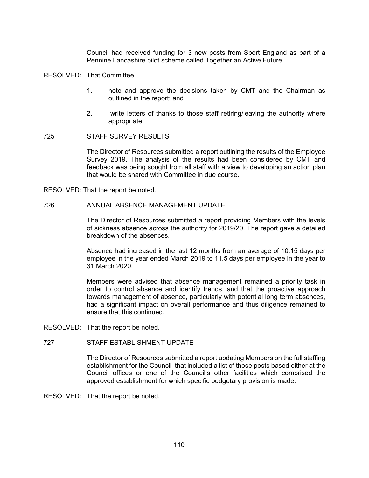Council had received funding for 3 new posts from Sport England as part of a Pennine Lancashire pilot scheme called Together an Active Future.

#### RESOLVED: That Committee

- 1. note and approve the decisions taken by CMT and the Chairman as outlined in the report; and
- 2. write letters of thanks to those staff retiring/leaving the authority where appropriate.

## 725 STAFF SURVEY RESULTS

The Director of Resources submitted a report outlining the results of the Employee Survey 2019. The analysis of the results had been considered by CMT and feedback was being sought from all staff with a view to developing an action plan that would be shared with Committee in due course.

RESOLVED: That the report be noted.

### 726 ANNUAL ABSENCE MANAGEMENT UPDATE

The Director of Resources submitted a report providing Members with the levels of sickness absence across the authority for 2019/20. The report gave a detailed breakdown of the absences.

Absence had increased in the last 12 months from an average of 10.15 days per employee in the year ended March 2019 to 11.5 days per employee in the year to 31 March 2020.

Members were advised that absence management remained a priority task in order to control absence and identify trends, and that the proactive approach towards management of absence, particularly with potential long term absences, had a significant impact on overall performance and thus diligence remained to ensure that this continued.

RESOLVED: That the report be noted.

## 727 STAFF ESTABLISHMENT UPDATE

The Director of Resources submitted a report updating Members on the full staffing establishment for the Council that included a list of those posts based either at the Council offices or one of the Council's other facilities which comprised the approved establishment for which specific budgetary provision is made.

RESOLVED: That the report be noted.